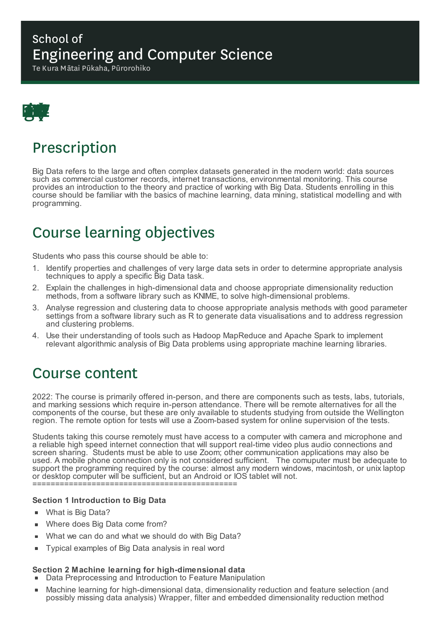### School of Engineering and Computer Science

Te Kura Mātai Pūkaha, Pūrorohiko



## Prescription

Big Data refers to the large and often complex datasets generated in the modern world: data sources such as commercial customer records, internet transactions, environmental monitoring. This course provides an introduction to the theory and practice of working with Big Data. Students enrolling in this course should be familiar with the basics of machine learning, data mining, statistical modelling and with programming.

# Course learning objectives

Students who pass this course should be able to:

- 1. Identify properties and challenges of very large data sets in order to determine appropriate analysis techniques to apply a specific Big Data task.
- 2. Explain the challenges in high-dimensional data and choose appropriate dimensionality reduction methods, from a software library such as KNIME, to solve high-dimensional problems.
- 3. Analyse regression and clustering data to choose appropriate analysis methods with good parameter settings from a software library such as R to generate data visualisations and to address regression and clustering problems.
- 4. Use their understanding of tools such as Hadoop MapReduce and Apache Spark to implement relevant algorithmic analysis of Big Data problems using appropriate machine learning libraries.

### Course content

2022: The course is primarily offered in-person, and there are components such as tests, labs, tutorials, and marking sessions which require in-person attendance. There will be remote alternatives for all the components of the course, but these are only available to students studying from outside the Wellington region. The remote option for tests will use a Zoom-based system for online supervision of the tests.

Students taking this course remotely must have access to a computer with camera and microphone and a reliable high speed internet connection that will support real-time video plus audio connections and screen sharing. Students must be able to use Zoom; other communication applications may also be used. A mobile phone connection only is not considered sufficient. The comuputer must be adequate to support the programming required by the course: almost any modern windows, macintosh, or unix laptop or desktop computer will be sufficient, but an Android or IOS tablet will not.

=============================================

#### **Section 1 Introduction to Big Data**

- What is Big Data?
- Where does Big Data come from?
- What we can do and what we should do with Big Data? É
- Typical examples of Big Data analysis in real word  $\blacksquare$

#### **Section 2 Machine learning for high-dimensional data**

- Data Preprocessing and Introduction to Feature Manipulation
- Machine learning for high-dimensional data, dimensionality reduction and feature selection (and possibly missing data analysis) Wrapper, filter and embedded dimensionality reduction method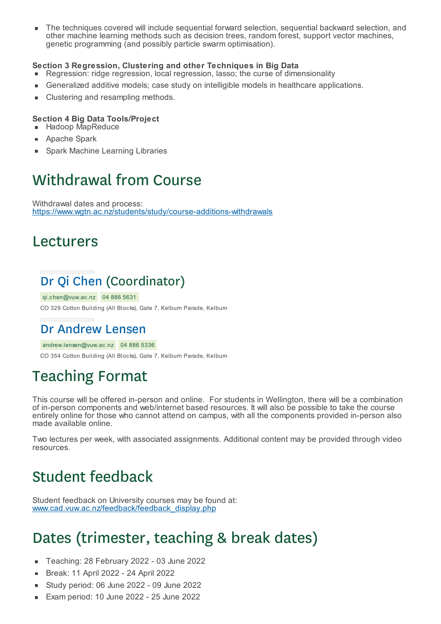The techniques covered will include sequential forward selection, sequential backward selection, and É other machine learning methods such as decision trees, random forest, support vector machines, genetic programming (and possibly particle swarm optimisation).

#### **Section 3 Regression, Clustering and other Techniques in Big Data**

- Regression: ridge regression, local regression, lasso; the curse of dimensionality
- Generalized additive models; case study on intelligible models in healthcare applications.
- Clustering and resampling methods.

#### **Section 4 Big Data Tools/Project**

- **Hadoop MapReduce**
- Apache Spark
- Spark Machine Learning Libraries

## Withdrawal from Course

Withdrawal dates and process: https://www.wgtn.ac.nz/students/study/course-additions-withdrawals

### Lecturers

### Dr Qi Chen (Coordinator)

qi.chen@vuw.ac.nz 04 886 5631

CO 329 Cotton Building (All Blocks), Gate 7, Kelburn Parade, Kelburn

#### Dr Andrew Lensen

andrew.lensen@vuw.ac.nz 04 886 5336

CO 354 Cotton Building (All Blocks), Gate 7, Kelburn Parade, Kelburn

# Teaching Format

This course will be offered in-person and online. For students in Wellington, there will be a combination of in-person components and web/internet based resources. It will also be possible to take the course entirely online for those who cannot attend on campus, with all the components provided in-person also made available online.

Two lectures per week, with associated assignments. Additional content may be provided through video resources.

## Student feedback

Student feedback on University courses may be found at: www.cad.vuw.ac.nz/feedback/feedback\_display.php

## Dates (trimester, teaching & break dates)

- Teaching: 28 February 2022 03 June 2022
- Break: 11 April 2022 24 April 2022  $\blacksquare$
- Study period: 06 June 2022 09 June 2022
- Exam period: 10 June 2022 25 June 2022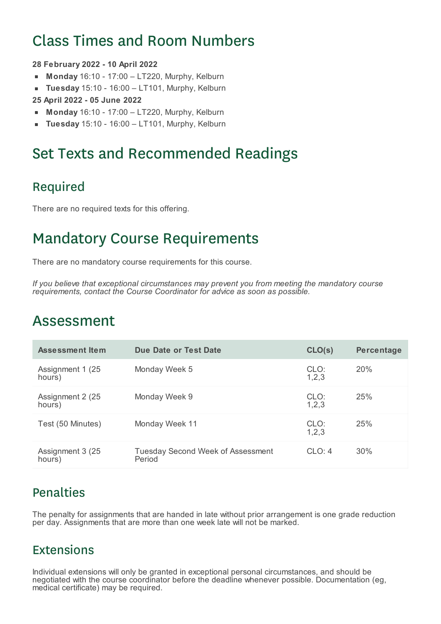# Class Times and Room Numbers

#### **28 February 2022 - 10 April 2022**

- **Monday** 16:10 17:00 LT220, Murphy, Kelburn  $\blacksquare$
- **Tuesday** 15:10 16:00 LT101, Murphy, Kelburn  $\blacksquare$
- **25 April 2022 - 05 June 2022**
- **Monday** 16:10 17:00 LT220, Murphy, Kelburn
- **Tuesday** 15:10 16:00 LT101, Murphy, Kelburn

## Set Texts and Recommended Readings

#### Required

There are no required texts for this offering.

## Mandatory Course Requirements

There are no mandatory course requirements for this course.

*If you believe that exceptional circumstances may prevent you from meeting the mandatory course requirements, contact the Course Coordinator for advice as soon as possible.*

### Assessment

| Assessment Item             | Due Date or Test Date                              | CLO(s)          | Percentage |
|-----------------------------|----------------------------------------------------|-----------------|------------|
| Assignment 1 (25)<br>hours) | Monday Week 5                                      | CLO:<br>1, 2, 3 | <b>20%</b> |
| Assignment 2 (25)<br>hours) | Monday Week 9                                      | CLO:<br>1, 2, 3 | 25%        |
| Test (50 Minutes)           | Monday Week 11                                     | CLO:<br>1, 2, 3 | 25%        |
| Assignment 3 (25)<br>hours) | <b>Tuesday Second Week of Assessment</b><br>Period | CLO: 4          | 30%        |

### **Penalties**

The penalty for assignments that are handed in late without prior arrangement is one grade reduction per day. Assignments that are more than one week late will not be marked.

#### Extensions

Individual extensions will only be granted in exceptional personal circumstances, and should be negotiated with the course coordinator before the deadline whenever possible. Documentation (eg, medical certificate) may be required.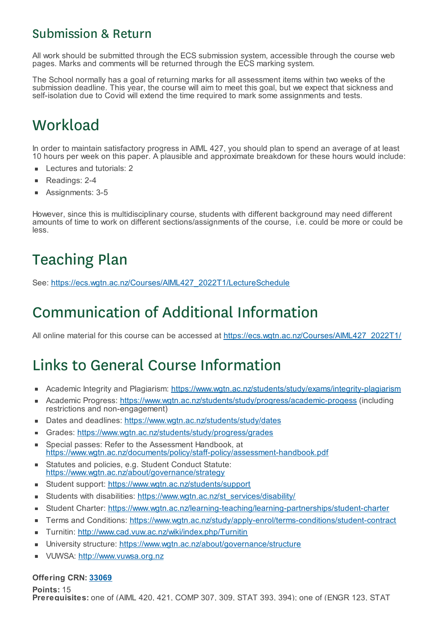#### Submission & Return

All work should be submitted through the ECS submission system, accessible through the course web pages. Marks and comments will be returned through the ECS marking system.

The School normally has a goal of returning marks for all assessment items within two weeks of the submission deadline. This year, the course will aim to meet this goal, but we expect that sickness and self-isolation due to Covid will extend the time required to mark some assignments and tests.

## **Workload**

In order to maintain satisfactory progress in AIML 427, you should plan to spend an average of at least 10 hours per week on this paper. A plausible and approximate breakdown for these hours would include:

- Lectures and tutorials: 2
- $\blacksquare$ Readings: 2-4
- Assignments: 3-5

However, since this is multidisciplinary course, students with different background may need different amounts of time to work on different sections/assignments of the course, i.e. could be more or could be less.

# Teaching Plan

See: https://ecs.wgtn.ac.nz/Courses/AIML427\_2022T1/LectureSchedule

# Communication of Additional Information

All online material for this course can be accessed at https://ecs.wgtn.ac.nz/Courses/AIML427\_2022T1/

# Links to General Course Information

- Academic Integrity and Plagiarism: https://www.wgtn.ac.nz/students/study/exams/integrity-plagiarism
- Academic Progress: https://www.wgtn.ac.nz/students/study/progress/academic-progess (including restrictions and non-engagement)
- Dates and deadlines: https://www.wgtn.ac.nz/students/study/dates ×
- Grades: https://www.wgtn.ac.nz/students/study/progress/grades
- Special passes: Refer to the Assessment Handbook, at  $\blacksquare$ https://www.wgtn.ac.nz/documents/policy/staff-policy/assessment-handbook.pdf
- Statutes and policies, e.g. Student Conduct Statute:  $\blacksquare$ https://www.wgtn.ac.nz/about/governance/strategy
- Student support: https://www.wgtn.ac.nz/students/support
- Students with disabilities: https://www.wgtn.ac.nz/st\_services/disability/ É
- Student Charter: https://www.wgtn.ac.nz/learning-teaching/learning-partnerships/student-charter É
- Terms and Conditions: https://www.wgtn.ac.nz/study/apply-enrol/terms-conditions/student-contract Ē
- Turnitin: http://www.cad.vuw.ac.nz/wiki/index.php/Turnitin Ē
- University structure: https://www.wgtn.ac.nz/about/governance/structure ×
- VUWSA: http://www.vuwsa.org.nz

#### **Offering CRN: 33069**

**Points:** 15 **Prerequisites:** one of (AIML 420, 421, COMP 307, 309, STAT 393, 394); one of (ENGR 123, STAT